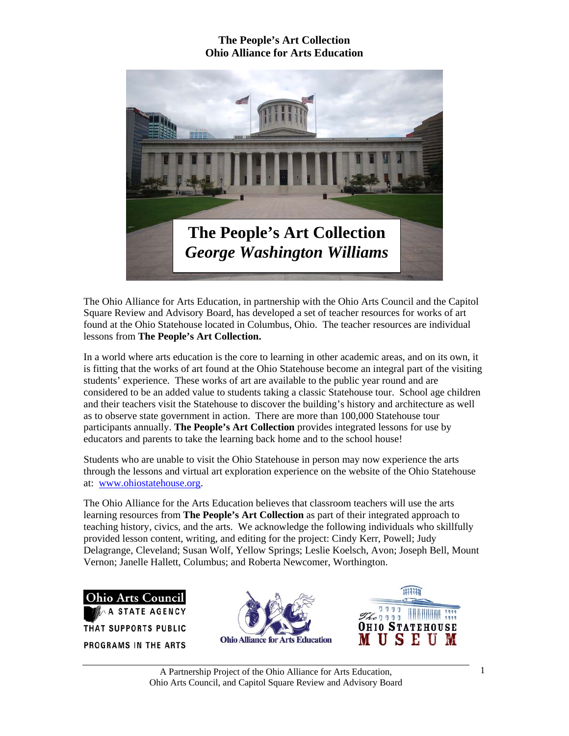

The Ohio Alliance for Arts Education, in partnership with the Ohio Arts Council and the Capitol Square Review and Advisory Board, has developed a set of teacher resources for works of art found at the Ohio Statehouse located in Columbus, Ohio. The teacher resources are individual lessons from **The People's Art Collection.** 

In a world where arts education is the core to learning in other academic areas, and on its own, it is fitting that the works of art found at the Ohio Statehouse become an integral part of the visiting students' experience. These works of art are available to the public year round and are considered to be an added value to students taking a classic Statehouse tour. School age children and their teachers visit the Statehouse to discover the building's history and architecture as well as to observe state government in action. There are more than 100,000 Statehouse tour participants annually. **The People's Art Collection** provides integrated lessons for use by educators and parents to take the learning back home and to the school house!

Students who are unable to visit the Ohio Statehouse in person may now experience the arts through the lessons and virtual art exploration experience on the website of the Ohio Statehouse at: www.ohiostatehouse.org.

The Ohio Alliance for the Arts Education believes that classroom teachers will use the arts learning resources from **The People's Art Collection** as part of their integrated approach to teaching history, civics, and the arts. We acknowledge the following individuals who skillfully provided lesson content, writing, and editing for the project: Cindy Kerr, Powell; Judy Delagrange, Cleveland; Susan Wolf, Yellow Springs; Leslie Koelsch, Avon; Joseph Bell, Mount Vernon; Janelle Hallett, Columbus; and Roberta Newcomer, Worthington.





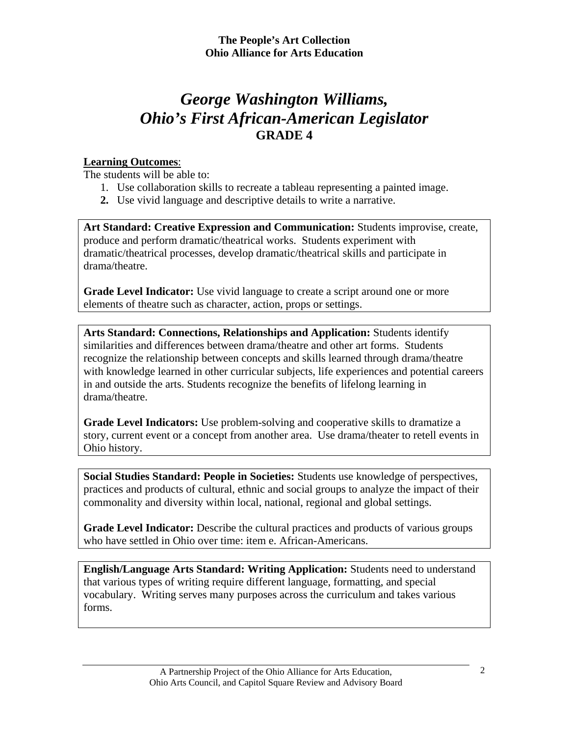## *George Washington Williams, Ohio's First African-American Legislator*  **GRADE 4**

### **Learning Outcomes**:

The students will be able to:

- 1. Use collaboration skills to recreate a tableau representing a painted image.
- **2.** Use vivid language and descriptive details to write a narrative.

**Art Standard: Creative Expression and Communication:** Students improvise, create, produce and perform dramatic/theatrical works. Students experiment with dramatic/theatrical processes, develop dramatic/theatrical skills and participate in drama/theatre.

**Grade Level Indicator:** Use vivid language to create a script around one or more elements of theatre such as character, action, props or settings.

**Arts Standard: Connections, Relationships and Application:** Students identify similarities and differences between drama/theatre and other art forms. Students recognize the relationship between concepts and skills learned through drama/theatre with knowledge learned in other curricular subjects, life experiences and potential careers in and outside the arts. Students recognize the benefits of lifelong learning in drama/theatre.

**Grade Level Indicators:** Use problem-solving and cooperative skills to dramatize a story, current event or a concept from another area.Use drama/theater to retell events in Ohio history.

**Social Studies Standard: People in Societies:** Students use knowledge of perspectives, practices and products of cultural, ethnic and social groups to analyze the impact of their commonality and diversity within local, national, regional and global settings.

**Grade Level Indicator:** Describe the cultural practices and products of various groups who have settled in Ohio over time: item e. African-Americans.

**English/Language Arts Standard: Writing Application:** Students need to understand that various types of writing require different language, formatting, and special vocabulary. Writing serves many purposes across the curriculum and takes various forms.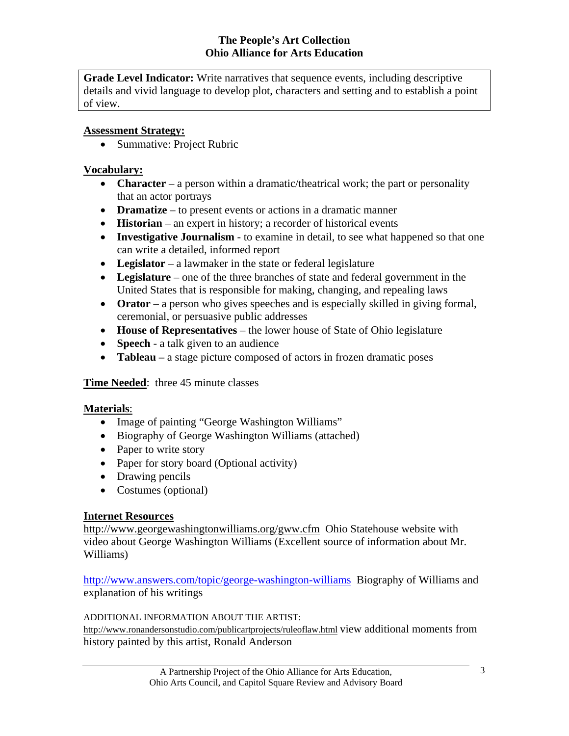**Grade Level Indicator:** Write narratives that sequence events, including descriptive details and vivid language to develop plot, characters and setting and to establish a point of view.

#### **Assessment Strategy:**

• Summative: Project Rubric

#### **Vocabulary:**

- **Character** a person within a dramatic/theatrical work; the part or personality that an actor portrays
- **Dramatize** to present events or actions in a dramatic manner
- **Historian** an expert in history; a recorder of historical events
- **Investigative Journalism** to examine in detail, to see what happened so that one can write a detailed, informed report
- **Legislator** a lawmaker in the state or federal legislature
- **Legislature** one of the three branches of state and federal government in the United States that is responsible for making, changing, and repealing laws
- **Orator** a person who gives speeches and is especially skilled in giving formal, ceremonial, or persuasive public addresses
- **House of Representatives** the lower house of State of Ohio legislature
- **Speech**  a talk given to an audience
- **Tableau** a stage picture composed of actors in frozen dramatic poses

**Time Needed**: three 45 minute classes

#### **Materials**:

- Image of painting "George Washington Williams"
- Biography of George Washington Williams (attached)
- Paper to write story
- Paper for story board (Optional activity)
- Drawing pencils
- Costumes (optional)

#### **Internet Resources**

http://www.georgewashingtonwilliams.org/gww.cfm Ohio Statehouse website with video about George Washington Williams (Excellent source of information about Mr. Williams)

http://www.answers.com/topic/george-washington-williams Biography of Williams and explanation of his writings

#### ADDITIONAL INFORMATION ABOUT THE ARTIST:

http://www.ronandersonstudio.com/publicartprojects/ruleoflaw.html view additional moments from history painted by this artist, Ronald Anderson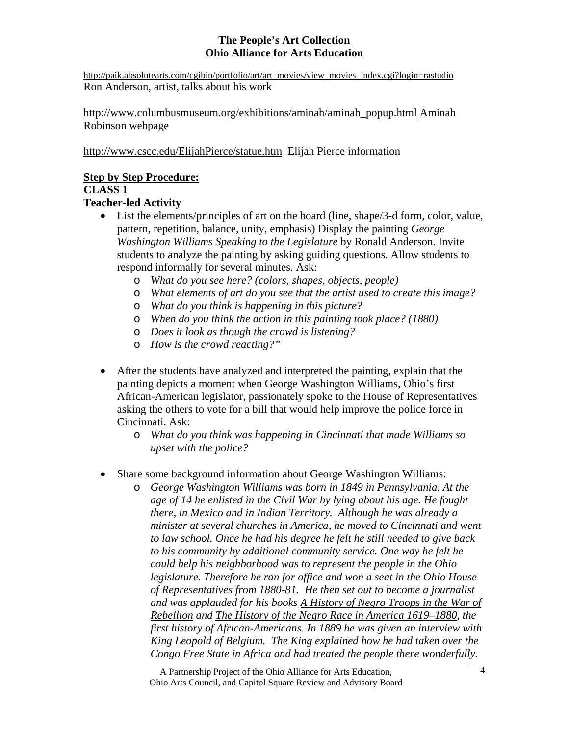http://paik.absolutearts.com/cgibin/portfolio/art/art\_movies/view\_movies\_index.cgi?login=rastudio Ron Anderson, artist, talks about his work

http://www.columbusmuseum.org/exhibitions/aminah/aminah\_popup.html Aminah Robinson webpage

http://www.cscc.edu/ElijahPierce/statue.htm Elijah Pierce information

### **Step by Step Procedure:**

## **CLASS 1**

## **Teacher-led Activity**

- List the elements/principles of art on the board (line, shape/3-d form, color, value, pattern, repetition, balance, unity, emphasis) Display the painting *George Washington Williams Speaking to the Legislature* by Ronald Anderson. Invite students to analyze the painting by asking guiding questions. Allow students to respond informally for several minutes. Ask:
	- o *What do you see here? (colors, shapes, objects, people)*
	- o *What elements of art do you see that the artist used to create this image?*
	- o *What do you think is happening in this picture?*
	- o *When do you think the action in this painting took place? (1880)*
	- o *Does it look as though the crowd is listening?*
	- o *How is the crowd reacting?"*
- After the students have analyzed and interpreted the painting, explain that the painting depicts a moment when George Washington Williams, Ohio's first African-American legislator, passionately spoke to the House of Representatives asking the others to vote for a bill that would help improve the police force in Cincinnati. Ask:
	- o *What do you think was happening in Cincinnati that made Williams so upset with the police?*
- Share some background information about George Washington Williams:
	- o *George Washington Williams was born in 1849 in Pennsylvania. At the age of 14 he enlisted in the Civil War by lying about his age. He fought there, in Mexico and in Indian Territory. Although he was already a minister at several churches in America, he moved to Cincinnati and went to law school. Once he had his degree he felt he still needed to give back to his community by additional community service. One way he felt he could help his neighborhood was to represent the people in the Ohio legislature. Therefore he ran for office and won a seat in the Ohio House of Representatives from 1880-81. He then set out to become a journalist and was applauded for his books A History of Negro Troops in the War of Rebellion and The History of the Negro Race in America 1619–1880, the first history of African-Americans. In 1889 he was given an interview with King Leopold of Belgium. The King explained how he had taken over the Congo Free State in Africa and had treated the people there wonderfully.*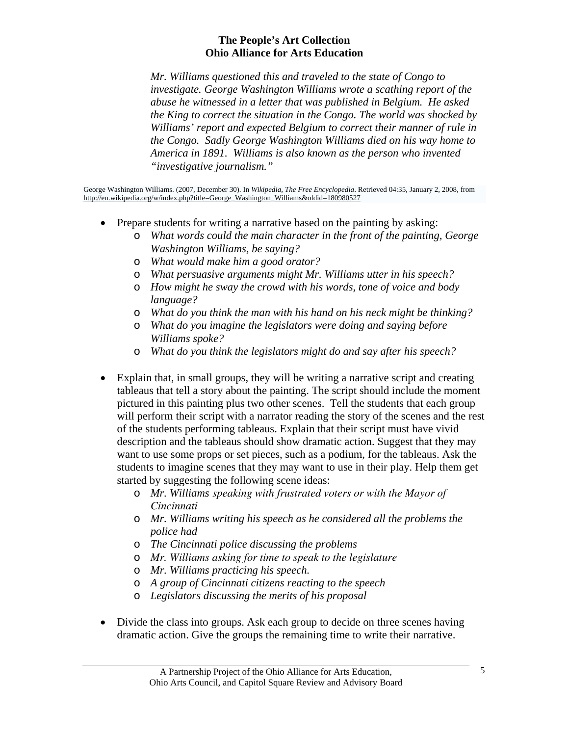*Mr. Williams questioned this and traveled to the state of Congo to investigate. George Washington Williams wrote a scathing report of the abuse he witnessed in a letter that was published in Belgium. He asked the King to correct the situation in the Congo. The world was shocked by Williams' report and expected Belgium to correct their manner of rule in the Congo. Sadly George Washington Williams died on his way home to America in 1891. Williams is also known as the person who invented "investigative journalism."* 

George Washington Williams. (2007, December 30). In *Wikipedia, The Free Encyclopedia*. Retrieved 04:35, January 2, 2008, from http://en.wikipedia.org/w/index.php?title=George\_Washington\_Williams&oldid=180980527

- Prepare students for writing a narrative based on the painting by asking:
	- o *What words could the main character in the front of the painting, George Washington Williams, be saying?*
	- o *What would make him a good orator?*
	- o *What persuasive arguments might Mr. Williams utter in his speech?*
	- o *How might he sway the crowd with his words, tone of voice and body language?*
	- o *What do you think the man with his hand on his neck might be thinking?*
	- o *What do you imagine the legislators were doing and saying before Williams spoke?*
	- o *What do you think the legislators might do and say after his speech?*
- Explain that, in small groups, they will be writing a narrative script and creating tableaus that tell a story about the painting. The script should include the moment pictured in this painting plus two other scenes. Tell the students that each group will perform their script with a narrator reading the story of the scenes and the rest of the students performing tableaus. Explain that their script must have vivid description and the tableaus should show dramatic action. Suggest that they may want to use some props or set pieces, such as a podium, for the tableaus. Ask the students to imagine scenes that they may want to use in their play. Help them get started by suggesting the following scene ideas:
	- o *Mr. Williams speaking with frustrated voters or with the Mayor of Cincinnati*
	- o *Mr. Williams writing his speech as he considered all the problems the police had*
	- o *The Cincinnati police discussing the problems*
	- o *Mr. Williams asking for time to speak to the legislature*
	- o *Mr. Williams practicing his speech.*
	- o *A group of Cincinnati citizens reacting to the speech*
	- o *Legislators discussing the merits of his proposal*
- Divide the class into groups. Ask each group to decide on three scenes having dramatic action. Give the groups the remaining time to write their narrative.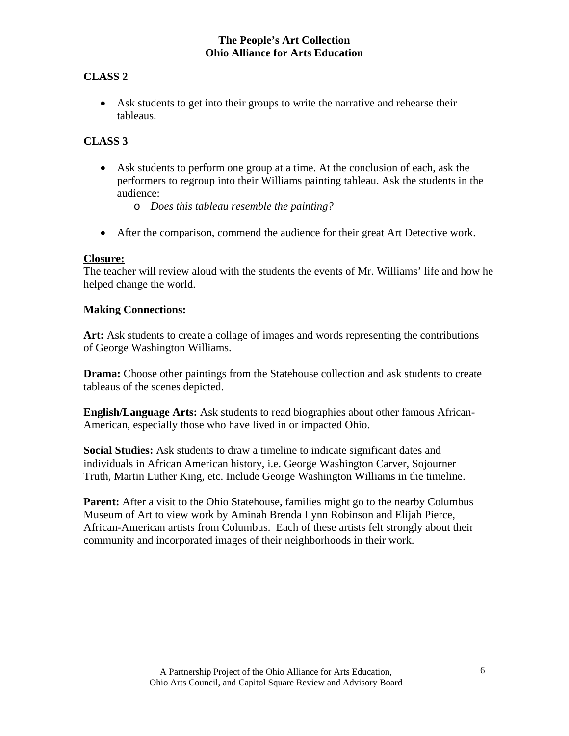## **CLASS 2**

• Ask students to get into their groups to write the narrative and rehearse their tableaus.

## **CLASS 3**

- Ask students to perform one group at a time. At the conclusion of each, ask the performers to regroup into their Williams painting tableau. Ask the students in the audience:
	- o *Does this tableau resemble the painting?*
- After the comparison, commend the audience for their great Art Detective work.

## **Closure:**

The teacher will review aloud with the students the events of Mr. Williams' life and how he helped change the world.

#### **Making Connections:**

**Art:** Ask students to create a collage of images and words representing the contributions of George Washington Williams.

**Drama:** Choose other paintings from the Statehouse collection and ask students to create tableaus of the scenes depicted.

**English/Language Arts:** Ask students to read biographies about other famous African-American, especially those who have lived in or impacted Ohio.

**Social Studies:** Ask students to draw a timeline to indicate significant dates and individuals in African American history, i.e. George Washington Carver, Sojourner Truth, Martin Luther King, etc. Include George Washington Williams in the timeline.

**Parent:** After a visit to the Ohio Statehouse, families might go to the nearby Columbus Museum of Art to view work by Aminah Brenda Lynn Robinson and Elijah Pierce, African-American artists from Columbus. Each of these artists felt strongly about their community and incorporated images of their neighborhoods in their work.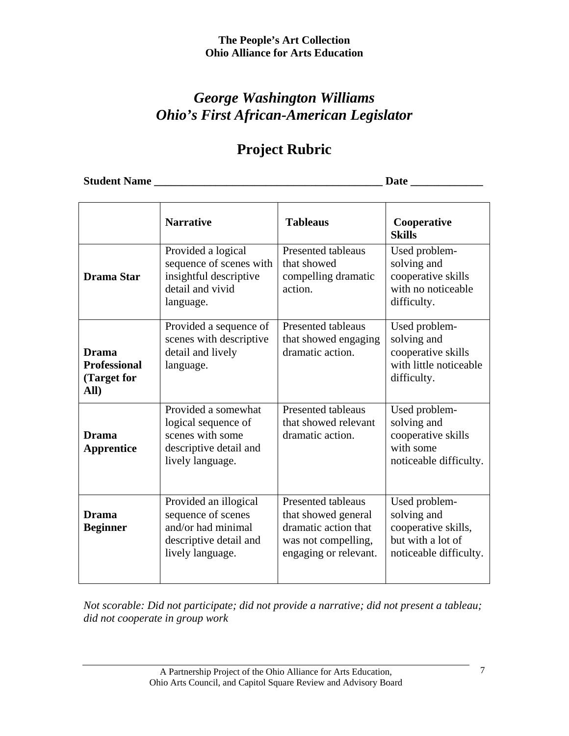## *George Washington Williams Ohio's First African-American Legislator*

# **Project Rubric**

**Student Name \_\_\_\_\_\_\_\_\_\_\_\_\_\_\_\_\_\_\_\_\_\_\_\_\_\_\_\_\_\_\_\_\_\_\_\_\_\_\_\_\_ Date \_\_\_\_\_\_\_\_\_\_\_\_\_** 

|                                                            | <b>Narrative</b>                                                                                                | <b>Tableaus</b>                                                                                                          | Cooperative<br><b>Skills</b>                                                                       |
|------------------------------------------------------------|-----------------------------------------------------------------------------------------------------------------|--------------------------------------------------------------------------------------------------------------------------|----------------------------------------------------------------------------------------------------|
| Drama Star                                                 | Provided a logical<br>sequence of scenes with<br>insightful descriptive<br>detail and vivid<br>language.        | <b>Presented tableaus</b><br>that showed<br>compelling dramatic<br>action.                                               | Used problem-<br>solving and<br>cooperative skills<br>with no noticeable<br>difficulty.            |
| <b>Drama</b><br><b>Professional</b><br>(Target for<br>All) | Provided a sequence of<br>scenes with descriptive<br>detail and lively<br>language.                             | <b>Presented tableaus</b><br>that showed engaging<br>dramatic action.                                                    | Used problem-<br>solving and<br>cooperative skills<br>with little noticeable<br>difficulty.        |
| <b>Drama</b><br><b>Apprentice</b>                          | Provided a somewhat<br>logical sequence of<br>scenes with some<br>descriptive detail and<br>lively language.    | <b>Presented tableaus</b><br>that showed relevant<br>dramatic action.                                                    | Used problem-<br>solving and<br>cooperative skills<br>with some<br>noticeable difficulty.          |
| <b>Drama</b><br><b>Beginner</b>                            | Provided an illogical<br>sequence of scenes<br>and/or had minimal<br>descriptive detail and<br>lively language. | <b>Presented tableaus</b><br>that showed general<br>dramatic action that<br>was not compelling,<br>engaging or relevant. | Used problem-<br>solving and<br>cooperative skills,<br>but with a lot of<br>noticeable difficulty. |

*Not scorable: Did not participate; did not provide a narrative; did not present a tableau; did not cooperate in group work*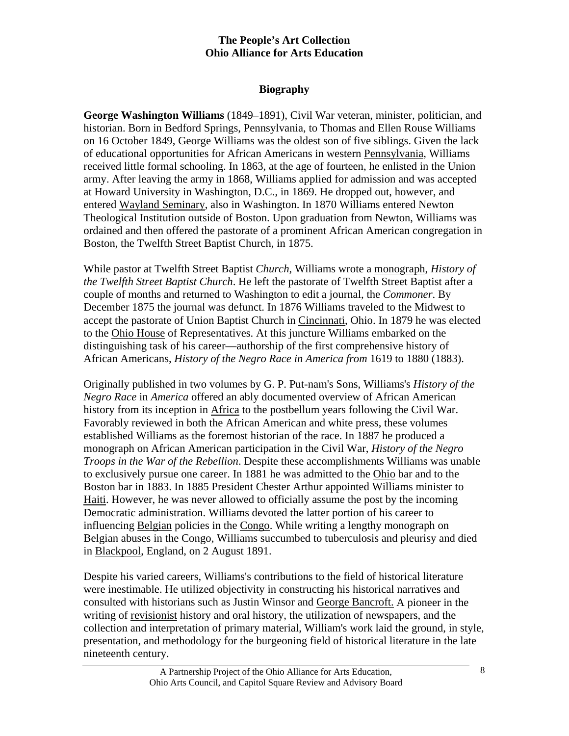## **Biography**

**George Washington Williams** (1849–1891), Civil War veteran, minister, politician, and historian. Born in Bedford Springs, Pennsylvania, to Thomas and Ellen Rouse Williams on 16 October 1849, George Williams was the oldest son of five siblings. Given the lack of educational opportunities for African Americans in western Pennsylvania, Williams received little formal schooling. In 1863, at the age of fourteen, he enlisted in the Union army. After leaving the army in 1868, Williams applied for admission and was accepted at Howard University in Washington, D.C., in 1869. He dropped out, however, and entered Wayland Seminary, also in Washington. In 1870 Williams entered Newton Theological Institution outside of Boston. Upon graduation from Newton, Williams was ordained and then offered the pastorate of a prominent African American congregation in Boston, the Twelfth Street Baptist Church, in 1875.

While pastor at Twelfth Street Baptist *Church*, Williams wrote a monograph, *History of the Twelfth Street Baptist Church*. He left the pastorate of Twelfth Street Baptist after a couple of months and returned to Washington to edit a journal, the *Commoner*. By December 1875 the journal was defunct. In 1876 Williams traveled to the Midwest to accept the pastorate of Union Baptist Church in Cincinnati, Ohio. In 1879 he was elected to the Ohio House of Representatives. At this juncture Williams embarked on the distinguishing task of his career—authorship of the first comprehensive history of African Americans, *History of the Negro Race in America from* 1619 to 1880 (1883).

Originally published in two volumes by G. P. Put-nam's Sons, Williams's *History of the Negro Race* in *America* offered an ably documented overview of African American history from its inception in Africa to the postbellum years following the Civil War. Favorably reviewed in both the African American and white press, these volumes established Williams as the foremost historian of the race. In 1887 he produced a monograph on African American participation in the Civil War, *History of the Negro Troops in the War of the Rebellion*. Despite these accomplishments Williams was unable to exclusively pursue one career. In 1881 he was admitted to the Ohio bar and to the Boston bar in 1883. In 1885 President Chester Arthur appointed Williams minister to Haiti. However, he was never allowed to officially assume the post by the incoming Democratic administration. Williams devoted the latter portion of his career to influencing Belgian policies in the Congo. While writing a lengthy monograph on Belgian abuses in the Congo, Williams succumbed to tuberculosis and pleurisy and died in Blackpool, England, on 2 August 1891.

Despite his varied careers, Williams's contributions to the field of historical literature were inestimable. He utilized objectivity in constructing his historical narratives and consulted with historians such as Justin Winsor and George Bancroft. A pioneer in the writing of revisionist history and oral history, the utilization of newspapers, and the collection and interpretation of primary material, William's work laid the ground, in style, presentation, and methodology for the burgeoning field of historical literature in the late nineteenth century.